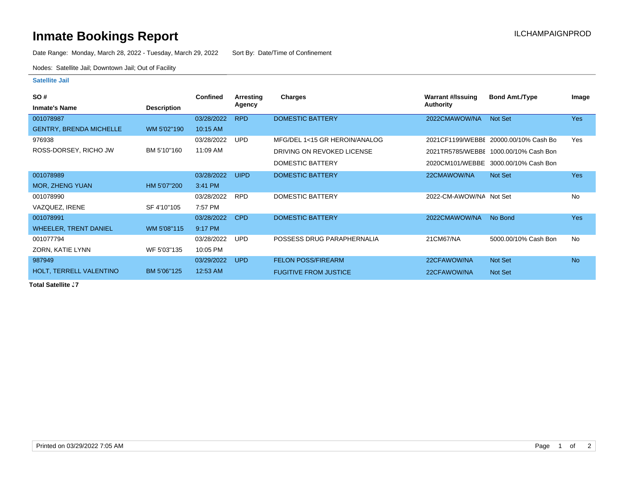## **Inmate Bookings Report Installation ILCHAMPAIGNPROD**

Date Range: Monday, March 28, 2022 - Tuesday, March 29, 2022 Sort By: Date/Time of Confinement

Nodes: Satellite Jail; Downtown Jail; Out of Facility

## **Satellite Jail**

| <b>SO#</b>                     |                    | <b>Confined</b> | Arresting   | Charges                       | <b>Warrant #/Issuing</b> | <b>Bond Amt./Type</b>                  | Image      |
|--------------------------------|--------------------|-----------------|-------------|-------------------------------|--------------------------|----------------------------------------|------------|
| <b>Inmate's Name</b>           | <b>Description</b> |                 | Agency      |                               | <b>Authority</b>         |                                        |            |
| 001078987                      |                    | 03/28/2022      | <b>RPD</b>  | <b>DOMESTIC BATTERY</b>       | 2022CMAWOW/NA            | <b>Not Set</b>                         | <b>Yes</b> |
| <b>GENTRY, BRENDA MICHELLE</b> | WM 5'02"190        | 10:15 AM        |             |                               |                          |                                        |            |
| 976938                         |                    | 03/28/2022      | UPD         | MFG/DEL 1<15 GR HEROIN/ANALOG |                          | 2021 CF1199/WEBBE 20000.00/10% Cash Bo | Yes        |
| ROSS-DORSEY, RICHO JW          | BM 5'10"160        | 11:09 AM        |             | DRIVING ON REVOKED LICENSE    |                          | 2021TR5785/WEBBE 1000.00/10% Cash Bon  |            |
|                                |                    |                 |             | DOMESTIC BATTERY              |                          | 2020CM101/WEBBE 3000.00/10% Cash Bon   |            |
| 001078989                      |                    | 03/28/2022      | <b>UIPD</b> | DOMESTIC BATTERY              | 22CMAWOW/NA              | Not Set                                | <b>Yes</b> |
| <b>MOR, ZHENG YUAN</b>         | HM 5'07"200        | 3:41 PM         |             |                               |                          |                                        |            |
| 001078990                      |                    | 03/28/2022      | <b>RPD</b>  | DOMESTIC BATTERY              | 2022-CM-AWOW/NA Not Set  |                                        | <b>No</b>  |
| VAZQUEZ, IRENE                 | SF 4'10"105        | 7:57 PM         |             |                               |                          |                                        |            |
| 001078991                      |                    | 03/28/2022      | CPD         | <b>DOMESTIC BATTERY</b>       | 2022CMAWOW/NA            | No Bond                                | <b>Yes</b> |
| <b>WHEELER, TRENT DANIEL</b>   | WM 5'08"115        | 9:17 PM         |             |                               |                          |                                        |            |
| 001077794                      |                    | 03/28/2022      | <b>UPD</b>  | POSSESS DRUG PARAPHERNALIA    | 21CM67/NA                | 5000.00/10% Cash Bon                   | <b>No</b>  |
| ZORN, KATIE LYNN               | WF 5'03"135        | 10:05 PM        |             |                               |                          |                                        |            |
| 987949                         |                    | 03/29/2022      | <b>UPD</b>  | <b>FELON POSS/FIREARM</b>     | 22CFAWOW/NA              | Not Set                                | <b>No</b>  |
| HOLT, TERRELL VALENTINO        | BM 5'06"125        | 12:53 AM        |             | <b>FUGITIVE FROM JUSTICE</b>  | 22CFAWOW/NA              | Not Set                                |            |

**Total Satellite . 7**